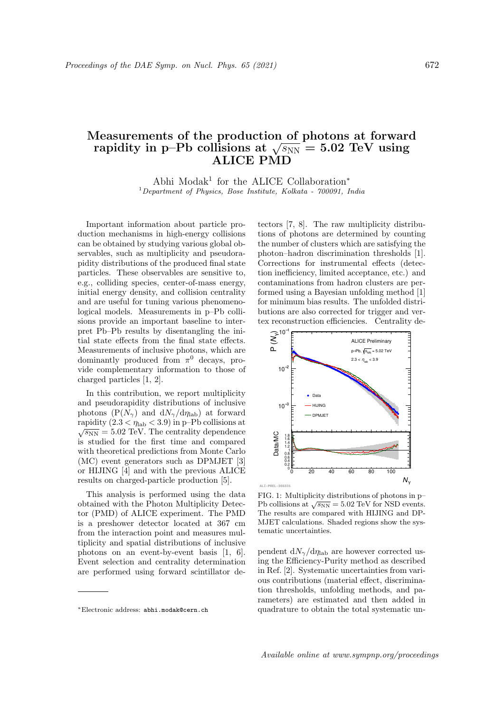## Measurements of the production of photons at forward Teasurements of the production of photons at forwar<br>rapidity in p–Pb collisions at  $\sqrt{s_\mathrm{NN}}=5.02\;\text{TeV}$  using ALICE PMD

Abhi Modak<sup>1</sup> for the ALICE Collaboration<sup>\*</sup>  $1$ Department of Physics, Bose Institute, Kolkata - 700091, India

Important information about particle production mechanisms in high-energy collisions can be obtained by studying various global observables, such as multiplicity and pseudorapidity distributions of the produced final state particles. These observables are sensitive to, e.g., colliding species, center-of-mass energy, initial energy density, and collision centrality and are useful for tuning various phenomenological models. Measurements in p–Pb collisions provide an important baseline to interpret Pb–Pb results by disentangling the initial state effects from the final state effects. Measurements of inclusive photons, which are dominantly produced from  $\pi^0$  decays, provide complementary information to those of charged particles [1, 2].

In this contribution, we report multiplicity and pseudorapidity distributions of inclusive photons  $(P(N_{\gamma})$  and  $dN_{\gamma}/d\eta_{\rm lab})$  at forward rapidity  $(2.3 < \eta_{\text{lab}} < 3.9)$  in p–Pb collisions at raphility (2.5 <  $\eta_{\text{lab}}$  < 5.9) in p-1 b consists at  $\sqrt{s_{\text{NN}}}$  = 5.02 TeV. The centrality dependence is studied for the first time and compared with theoretical predictions from Monte Carlo (MC) event generators such as DPMJET [3] or HIJING [4] and with the previous ALICE results on charged-particle production [5].

This analysis is performed using the data obtained with the Photon Multiplicity Detector (PMD) of ALICE experiment. The PMD is a preshower detector located at 367 cm from the interaction point and measures multiplicity and spatial distributions of inclusive photons on an event-by-event basis [1, 6]. Event selection and centrality determination are performed using forward scintillator de-

<sup>∗</sup>Electronic address: abhi.modak@cern.ch

tectors [7, 8]. The raw multiplicity distributions of photons are determined by counting the number of clusters which are satisfying the photon–hadron discrimination thresholds [1]. Corrections for instrumental effects (detection inefficiency, limited acceptance, etc.) and contaminations from hadron clusters are performed using a Bayesian unfolding method [1] for minimum bias results. The unfolded distributions are also corrected for trigger and vertex reconstruction efficiencies. Centrality de-



FIG. 1: Multiplicity distributions of photons in p– Pb collisions at  $\sqrt{s_{NN}}$  = 5.02 TeV for NSD events. The results are compared with HIJING and DP-MJET calculations. Shaded regions show the systematic uncertainties.

pendent  $dN_{\gamma}/d\eta_{\rm lab}$  are however corrected using the Efficiency-Purity method as described in Ref. [2]. Systematic uncertainties from various contributions (material effect, discrimination thresholds, unfolding methods, and parameters) are estimated and then added in quadrature to obtain the total systematic un